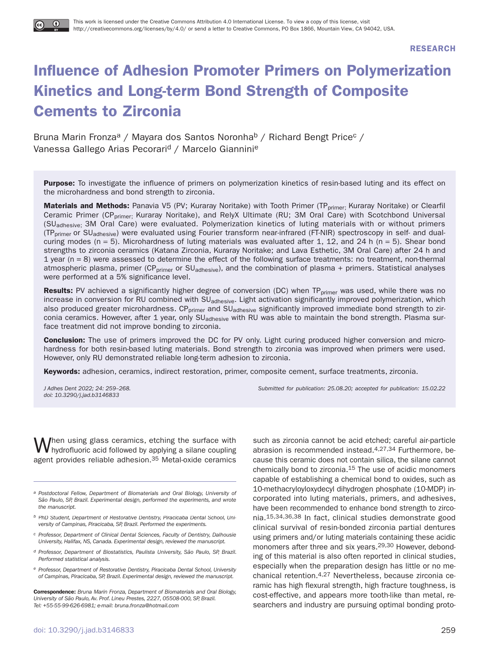**RESEARCH**

# **Influence of Adhesion Promoter Primers on Polymerization Kinetics and Long-term Bond Strength of Composite Cements to Zirconia**

Bruna Marin Fronza<sup>a</sup> / Mayara dos Santos Noronha<sup>b</sup> / Richard Bengt Price<sup>c</sup> / Vanessa Gallego Arias Pecorari<sup>d</sup> / Marcelo Giannini<sup>e</sup>

**Purpose:** To investigate the influence of primers on polymerization kinetics of resin-based luting and its effect on the microhardness and bond strength to zirconia.

**Materials and Methods:** Panavia V5 (PV; Kuraray Noritake) with Tooth Primer (TP<sub>primer;</sub> Kuraray Noritake) or Clearfil Ceramic Primer (CP<sub>primer;</sub> Kuraray Noritake), and RelyX Ultimate (RU; 3M Oral Care) with Scotchbond Universal (SUadhesive; 3M Oral Care) were evaluated. Polymerization kinetics of luting materials with or without primers (TP<sub>primer</sub> or SU<sub>adhesive</sub>) were evaluated using Fourier transform near-infrared (FT-NIR) spectroscopy in self- and dualcuring modes (n = 5). Microhardness of luting materials was evaluated after 1, 12, and 24 h (n = 5). Shear bond strengths to zirconia ceramics (Katana Zirconia, Kuraray Noritake; and Lava Esthetic, 3M Oral Care) after 24 h and 1 year ( $n = 8$ ) were assessed to determine the effect of the following surface treatments: no treatment, non-thermal atmospheric plasma, primer (CP<sub>primer</sub> or SU<sub>adhesive</sub>), and the combination of plasma + primers. Statistical analyses were performed at a 5% significance level.

**Results:** PV achieved a significantly higher degree of conversion (DC) when TP<sub>primer</sub> was used, while there was no increase in conversion for RU combined with SU<sub>adhesive</sub>. Light activation significantly improved polymerization, which also produced greater microhardness. CP<sub>primer</sub> and SU<sub>adhesive</sub> significantly improved immediate bond strength to zirconia ceramics. However, after 1 year, only SU<sub>adhesive</sub> with RU was able to maintain the bond strength. Plasma surface treatment did not improve bonding to zirconia.

**Conclusion:** The use of primers improved the DC for PV only. Light curing produced higher conversion and microhardness for both resin-based luting materials. Bond strength to zirconia was improved when primers were used. However, only RU demonstrated reliable long-term adhesion to zirconia.

**Keywords:** adhesion, ceramics, indirect restoration, primer, composite cement, surface treatments, zirconia.

doi: 10.3290/j.jad.b3146833

J Adhes Dent 2022; 24: 259–268. Submitted for publication: 25.08.20; accepted for publication: 15.02.22

When using glass ceramics, etching the surface with hydrofluoric acid followed by applying a silane coupling agent provides reliable adhesion.35 Metal-oxide ceramics

- a Postdoctoral Fellow, Department of Biomaterials and Oral Biology, University of São Paulo, SP, Brazil. Experimental design, performed the experiments, and wrote the manuscript.
- b PhD Student, Department of Restorative Dentistry, Piracicaba Dental School, University of Campinas, Piracicaba, SP, Brazil. Performed the experiments.
- c Professor, Department of Clinical Dental Sciences, Faculty of Dentistry, Dalhousie University, Halifax, NS, Canada. Experimental design, reviewed the manuscript.
- d Professor, Department of Biostatistics, Paulista University, São Paulo, SP, Brazil. Performed statistical analysis.
- e Professor, Department of Restorative Dentistry, Piracicaba Dental School, University of Campinas, Piracicaba, SP, Brazil. Experimental design, reviewed the manuscript.

**Correspondence:** Bruna Marin Fronza, Department of Biomaterials and Oral Biology, University of São Paulo, Av. Prof. Lineu Prestes, 2227, 05508-000, SP, Brazil. Tel: +55-55-99-626-6981; e-mail: bruna.fronza@hotmail.com

such as zirconia cannot be acid etched; careful air-particle abrasion is recommended instead.4,27,34 Furthermore, because this ceramic does not contain silica, the silane cannot chemically bond to zirconia.15 The use of acidic monomers capable of establishing a chemical bond to oxides, such as 10-methacryloyloxydecyl dihydrogen phosphate (10-MDP) incorporated into luting materials, primers, and adhesives, have been recommended to enhance bond strength to zirconia.15,34,36,38 In fact, clinical studies demonstrate good clinical survival of resin-bonded zirconia partial dentures using primers and/or luting materials containing these acidic monomers after three and six years.29,30 However, debonding of this material is also often reported in clinical studies, especially when the preparation design has little or no mechanical retention.4,27 Nevertheless, because zirconia ceramic has high flexural strength, high fracture toughness, is cost-effective, and appears more tooth-like than metal, researchers and industry are pursuing optimal bonding proto-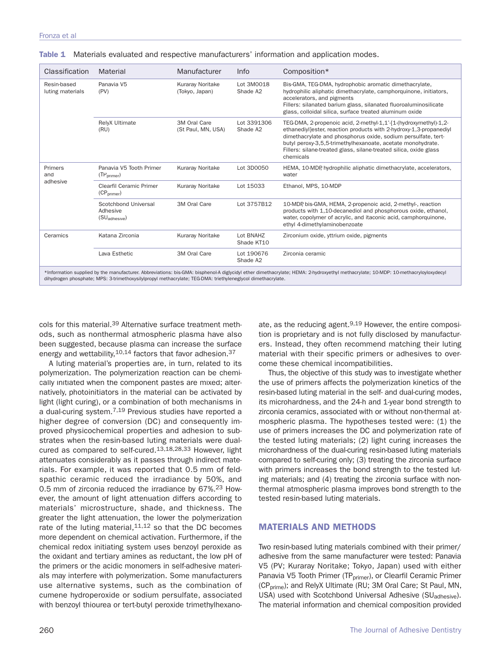| Classification                  | Material                                                                                                    | Manufacturer                              | Info                               | Composition*                                                                                                                                                                                                                                                                                                                                             |
|---------------------------------|-------------------------------------------------------------------------------------------------------------|-------------------------------------------|------------------------------------|----------------------------------------------------------------------------------------------------------------------------------------------------------------------------------------------------------------------------------------------------------------------------------------------------------------------------------------------------------|
| Resin-based<br>luting materials | Panavia V5<br>(PV)                                                                                          | <b>Kuraray Noritake</b><br>(Tokyo, Japan) | Lot 3M0018<br>Shade A2             | Bis-GMA, TEG-DMA, hydrophobic aromatic dimethacrylate,<br>hydrophilic aliphatic dimethacrylate, camphorquinone, initiators,<br>accelerators, and pigments<br>Fillers: silanated barium glass, silanated fluoroaluminosilicate<br>glass, colloidal silica, surface treated aluminum oxide                                                                 |
|                                 | RelyX Ultimate<br>(RU)                                                                                      | 3M Oral Care<br>(St Paul, MN, USA)        | Lot 3391306<br>Shade A2            | TEG-DMA, 2-propenoic acid, 2-methyl-1,1'-[1-(hydroxymethyl)-1,2-<br>ethanediyl]ester, reaction products with 2-hydroxy-1,3-propanediyl<br>dimethacrylate and phosphorus oxide, sodium persulfate, tert-<br>butyl peroxy-3,5,5-trimethylhexanoate, acetate monohydrate.<br>Fillers: silane-treated glass, silane-treated silica, oxide glass<br>chemicals |
| Primers<br>and<br>adhesive      | Panavia V5 Tooth Primer<br>(TP <sub>brimer</sub> )                                                          | Kuraray Noritake                          | Lot 3D0050                         | HEMA, 10-MDP, hydrophilic aliphatic dimethacrylate, accelerators,<br>water                                                                                                                                                                                                                                                                               |
|                                 | Clearfil Ceramic Primer<br>(CP <sub>orimer</sub> )                                                          | Kuraray Noritake                          | Lot 15033                          | Ethanol, MPS, 10-MDP                                                                                                                                                                                                                                                                                                                                     |
|                                 | Scotchbond Universal<br>Adhesive<br>(SU <sub>adhesive</sub> )                                               | 3M Oral Care                              | Lot 3757B12                        | 10-MDP, bis-GMA, HEMA, 2-propenoic acid, 2-methyl-, reaction<br>products with 1,10-decanediol and phosphorous oxide, ethanol,<br>water, copolymer of acrylic, and itaconic acid, camphorquinone,<br>ethyl 4-dimethylaminobenzoate                                                                                                                        |
| Ceramics                        | Katana Zirconia                                                                                             | <b>Kuraray Noritake</b>                   | Lot BNAHZ<br>Shade KT10            | Zirconium oxide, yttrium oxide, pigments                                                                                                                                                                                                                                                                                                                 |
|                                 | Lava Esthetic                                                                                               | 3M Oral Care                              | Lot 190676<br>Shade A <sub>2</sub> | Zirconia ceramic                                                                                                                                                                                                                                                                                                                                         |
|                                 | dihydrogen phosphate; MPS: 3-trimethoxysilylpropyl methacrylate; TEG-DMA: triethyleneglycol dimethacrylate. |                                           |                                    | *Information supplied by the manufacturer. Abbreviations: bis-GMA: bisphenol-A diglycidyl ether dimethacrylate; HEMA: 2-hydroxyethyl methacrylate; 10-MDP: 10-methacryloyloxydecyl                                                                                                                                                                       |

| Table 1 Materials evaluated and respective manufacturers' information and application modes. |  |  |  |
|----------------------------------------------------------------------------------------------|--|--|--|
|                                                                                              |  |  |  |

cols for this material.<sup>39</sup> Alternative surface treatment methods, such as nonthermal atmospheric plasma have also been suggested, because plasma can increase the surface energy and wettability,  $10,14$  factors that favor adhesion.  $37$ 

A luting material's properties are, in turn, related to its polymerization. The polymerization reaction can be chemically initiated when the component pastes are mixed; alternatively, photoinitiators in the material can be activated by light (light curing), or a combination of both mechanisms in a dual-curing system.7,19 Previous studies have reported a higher degree of conversion (DC) and consequently improved physicochemical properties and adhesion to substrates when the resin-based luting materials were dualcured as compared to self-cured.13,18,28,33 However, light attenuates considerably as it passes through indirect materials. For example, it was reported that 0.5 mm of feldspathic ceramic reduced the irradiance by 50%, and 0.5 mm of zirconia reduced the irradiance by 67%.<sup>23</sup> However, the amount of light attenuation differs according to materials' microstructure, shade, and thickness. The greater the light attenuation, the lower the polymerization rate of the luting material,  $11,12$  so that the DC becomes more dependent on chemical activation. Furthermore, if the chemical redox initiating system uses benzoyl peroxide as the oxidant and tertiary amines as reductant, the low pH of the primers or the acidic monomers in self-adhesive materials may interfere with polymerization. Some manufacturers use alternative systems, such as the combination of cumene hydroperoxide or sodium persulfate, associated with benzoyl thiourea or tert-butyl peroxide trimethylhexano-

ate, as the reducing agent.<sup>9,19</sup> However, the entire composition is proprietary and is not fully disclosed by manufacturers. Instead, they often recommend matching their luting material with their specific primers or adhesives to overcome these chemical incompatibilities.

Thus, the objective of this study was to investigate whether the use of primers affects the polymerization kinetics of the resin-based luting material in the self- and dual-curing modes, its microhardness, and the 24-h and 1-year bond strength to zirconia ceramics, associated with or without non-thermal atmospheric plasma. The hypotheses tested were: (1) the use of primers increases the DC and polymerization rate of the tested luting materials; (2) light curing increases the microhardness of the dual-curing resin-based luting materials compared to self-curing only; (3) treating the zirconia surface with primers increases the bond strength to the tested luting materials; and (4) treating the zirconia surface with nonthermal atmospheric plasma improves bond strength to the tested resin-based luting materials.

# **MATERIALS AND METHODS**

Two resin-based luting materials combined with their primer/ adhesive from the same manufacturer were tested: Panavia V5 (PV; Kuraray Noritake; Tokyo, Japan) used with either Panavia V5 Tooth Primer (TP<sub>primer</sub>), or Clearfil Ceramic Primer (CP<sub>prime</sub>); and RelyX Ultimate (RU; 3M Oral Care; St Paul, MN, USA) used with Scotchbond Universal Adhesive (SU<sub>adhesive</sub>). The material information and chemical composition provided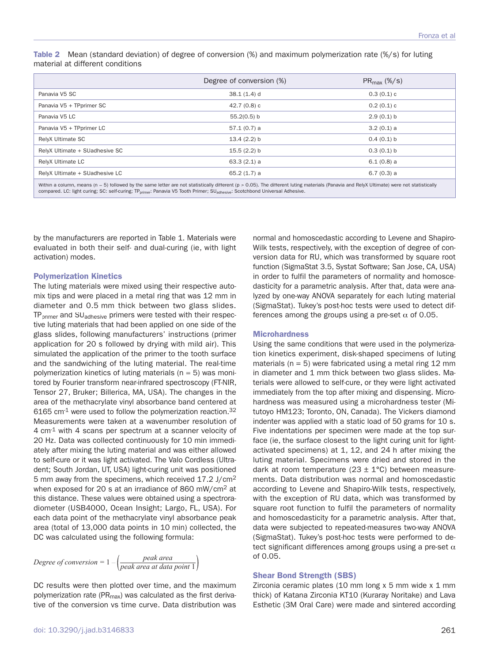**Table 2** Mean (standard deviation) of degree of conversion (%) and maximum polymerization rate (%/s) for luting material at different conditions

|                                | Degree of conversion (%) | $PR_{max}$ (%/s) |
|--------------------------------|--------------------------|------------------|
| Panavia V5 SC                  | $38.1(1.4)$ d            | 0.3(0.1)c        |
| Panavia V5 + TPprimer SC       | 42.7 $(0.8)$ c           | 0.2(0.1)c        |
| Panavia V5 LC                  | $55.2(0.5)$ b            | 2.9(0.1) b       |
| Panavia V5 + TPprimer LC       | 57.1(0.7) a              | 3.2(0.1)a        |
| RelyX Ultimate SC              | 13.4(2.2) b              | 0.4(0.1) b       |
| RelyX Ultimate + SUadhesive SC | 15.5(2.2) b              | 0.3(0.1) b       |
| RelyX Ultimate LC              | $63.3(2.1)$ a            | $6.1(0.8)$ a     |
| RelyX Ultimate + SUadhesive LC | 65.2(1.7) a              | 6.7(0.3) a       |
|                                |                          |                  |

ithin a column, means (n = 5) followed by the same letter are not statistically different (p > 0.05). The different luting materials (Panavia and RelyX Ultimate) were not statistically compared. LC: light curing; SC: self-curing; TP<sub>primer</sub>: Panavia V5 Tooth Primer; SU<sub>adhesive</sub>: Scotchbond Universal Adhesive.

by the manufacturers are reported in Table 1. Materials were evaluated in both their self- and dual-curing (ie, with light activation) modes.

### **Polymerization Kinetics**

The luting materials were mixed using their respective automix tips and were placed in a metal ring that was 12 mm in diameter and 0.5 mm thick between two glass slides. TP<sub>primer</sub> and SU<sub>adhesive</sub> primers were tested with their respective luting materials that had been applied on one side of the glass slides, following manufacturers' instructions (primer application for 20 s followed by drying with mild air). This simulated the application of the primer to the tooth surface and the sandwiching of the luting material. The real-time polymerization kinetics of luting materials ( $n = 5$ ) was monitored by Fourier transform near-infrared spectroscopy (FT-NIR, Tensor 27, Bruker; Billerica, MA, USA). The changes in the area of the methacrylate vinyl absorbance band centered at  $6165$  cm<sup>-1</sup> were used to follow the polymerization reaction.<sup>32</sup> Measurements were taken at a wavenumber resolution of 4 cm-1 with 4 scans per spectrum at a scanner velocity of 20 Hz. Data was collected continuously for 10 min immediately after mixing the luting material and was either allowed to self-cure or it was light activated. The Valo Cordless (Ultradent; South Jordan, UT, USA) light-curing unit was positioned 5 mm away from the specimens, which received 17.2 J/cm2 when exposed for 20 s at an irradiance of 860 mW/cm2 at this distance. These values were obtained using a spectroradiometer (USB4000, Ocean Insight; Largo, FL, USA). For each data point of the methacrylate vinyl absorbance peak area (total of 13,000 data points in 10 min) collected, the DC was calculated using the following formula:

*Degree of conversion =* <sup>1</sup> *– peak area peak area at data point* 1

DC results were then plotted over time, and the maximum polymerization rate ( $PR<sub>max</sub>$ ) was calculated as the first derivative of the conversion vs time curve. Data distribution was normal and homoscedastic according to Levene and Shapiro-Wilk tests, respectively, with the exception of degree of conversion data for RU, which was transformed by square root function (SigmaStat 3.5, Systat Software; San Jose, CA, USA) in order to fulfil the parameters of normality and homoscedasticity for a parametric analysis. After that, data were analyzed by one-way ANOVA separately for each luting material (SigmaStat). Tukey's post-hoc tests were used to detect differences among the groups using a pre-set  $\alpha$  of 0.05.

#### **Microhardness**

Using the same conditions that were used in the polymerization kinetics experiment, disk-shaped specimens of luting materials ( $n = 5$ ) were fabricated using a metal ring 12 mm in diameter and 1 mm thick between two glass slides. Materials were allowed to self-cure, or they were light activated immediately from the top after mixing and dispensing. Microhardness was measured using a microhardness tester (Mitutoyo HM123; Toronto, ON, Canada). The Vickers diamond indenter was applied with a static load of 50 grams for 10 s. Five indentations per specimen were made at the top surface (ie, the surface closest to the light curing unit for lightactivated specimens) at 1, 12, and 24 h after mixing the luting material. Specimens were dried and stored in the dark at room temperature (23  $\pm$  1°C) between measurements. Data distribution was normal and homoscedastic according to Levene and Shapiro-Wilk tests, respectively, with the exception of RU data, which was transformed by square root function to fulfil the parameters of normality and homoscedasticity for a parametric analysis. After that, data were subjected to repeated-measures two-way ANOVA (SigmaStat). Tukey's post-hoc tests were performed to detect significant differences among groups using a pre-set  $\alpha$ of 0.05.

#### **Shear Bond Strength (SBS)**

Zirconia ceramic plates (10 mm long x 5 mm wide x 1 mm thick) of Katana Zirconia KT10 (Kuraray Noritake) and Lava Esthetic (3M Oral Care) were made and sintered according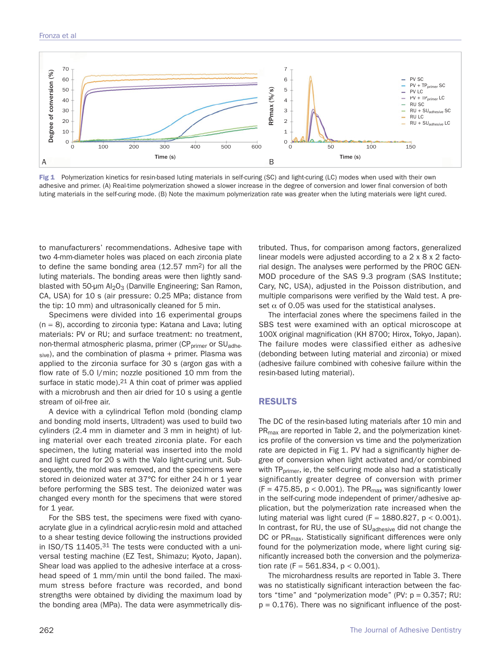

Fig 1 Polymerization kinetics for resin-based luting materials in self-curing (SC) and light-curing (LC) modes when used with their own adhesive and primer. (A) Real-time polymerization showed a slower increase in the degree of conversion and lower final conversion of both luting materials in the self-curing mode. (B) Note the maximum polymerization rate was greater when the luting materials were light cured.

to manufacturers' recommendations. Adhesive tape with two 4-mm-diameter holes was placed on each zirconia plate to define the same bonding area  $(12.57 \text{ mm}^2)$  for all the luting materials. The bonding areas were then lightly sandblasted with 50-µm  $Al_2O_3$  (Danville Engineering; San Ramon, CA, USA) for 10 s (air pressure: 0.25 MPa; distance from the tip: 10 mm) and ultrasonically cleaned for 5 min.

Specimens were divided into 16 experimental groups (n = 8), according to zirconia type: Katana and Lava; luting materials: PV or RU; and surface treatment: no treatment, non-thermal atmospheric plasma, primer (CP<sub>primer</sub> or SU<sub>adhe-</sub>  $sive$ ), and the combination of plasma + primer. Plasma was applied to the zirconia surface for 30 s (argon gas with a flow rate of 5.0 l/min; nozzle positioned 10 mm from the surface in static mode). $21$  A thin coat of primer was applied with a microbrush and then air dried for 10 s using a gentle stream of oil-free air.

A device with a cylindrical Teflon mold (bonding clamp and bonding mold inserts, Ultradent) was used to build two cylinders (2.4 mm in diameter and 3 mm in height) of luting material over each treated zirconia plate. For each specimen, the luting material was inserted into the mold and light cured for 20 s with the Valo light-curing unit. Subsequently, the mold was removed, and the specimens were stored in deionized water at 37°C for either 24 h or 1 year before performing the SBS test. The deionized water was changed every month for the specimens that were stored for 1 year.

For the SBS test, the specimens were fixed with cyanoacrylate glue in a cylindrical acrylic-resin mold and attached to a shear testing device following the instructions provided in ISO/TS 11405.31 The tests were conducted with a universal testing machine (EZ Test, Shimazu; Kyoto, Japan). Shear load was applied to the adhesive interface at a crosshead speed of 1 mm/min until the bond failed. The maximum stress before fracture was recorded, and bond strengths were obtained by dividing the maximum load by the bonding area (MPa). The data were asymmetrically distributed. Thus, for comparison among factors, generalized linear models were adjusted according to a 2 x 8 x 2 factorial design. The analyses were performed by the PROC GEN-MOD procedure of the SAS 9.3 program (SAS Institute; Cary, NC, USA), adjusted in the Poisson distribution, and multiple comparisons were verified by the Wald test. A preset  $\alpha$  of 0.05 was used for the statistical analyses.

The interfacial zones where the specimens failed in the SBS test were examined with an optical microscope at 100X original magnification (KH 8700; Hirox, Tokyo, Japan). The failure modes were classified either as adhesive (debonding between luting material and zirconia) or mixed (adhesive failure combined with cohesive failure within the resin-based luting material).

## **RESULTS**

The DC of the resin-based luting materials after 10 min and PR<sub>max</sub> are reported in Table 2, and the polymerization kinetics profile of the conversion vs time and the polymerization rate are depicted in Fig 1. PV had a significantly higher degree of conversion when light activated and/or combined with  $TP_{\text{primary}}$ , ie, the self-curing mode also had a statistically significantly greater degree of conversion with primer  $(F = 475.85, p < 0.001)$ . The PR<sub>max</sub> was significantly lower in the self-curing mode independent of primer/adhesive application, but the polymerization rate increased when the luting material was light cured ( $F = 1880.827$ ,  $p < 0.001$ ). In contrast, for RU, the use of SUadhesive did not change the DC or PR<sub>max</sub>. Statistically significant differences were only found for the polymerization mode, where light curing significantly increased both the conversion and the polymerization rate (F = 561.834,  $p < 0.001$ ).

The microhardness results are reported in Table 3. There was no statistically significant interaction between the factors "time" and "polymerization mode" (PV: p = 0.357; RU:  $p = 0.176$ ). There was no significant influence of the post-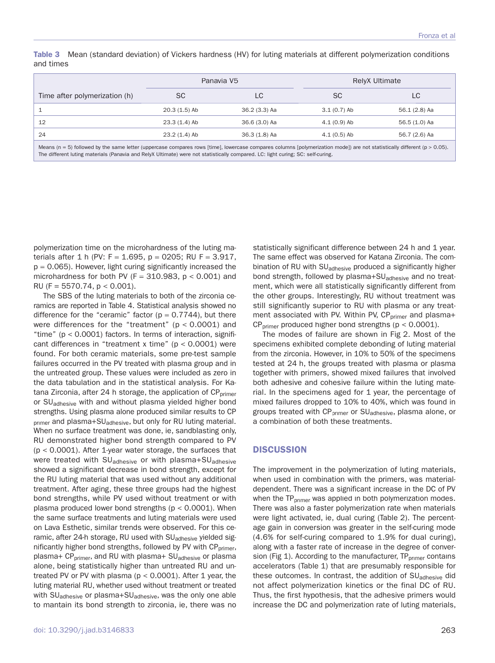|                               | Panavia V5     |               |               | <b>RelyX Ultimate</b> |
|-------------------------------|----------------|---------------|---------------|-----------------------|
| Time after polymerization (h) | SC             | LC            | <b>SC</b>     | LC.                   |
|                               | $20.3(1.5)$ Ab | 36.2 (3.3) Aa | $3.1(0.7)$ Ab | 56.1 (2.8) Aa         |
| 12                            | 23.3 (1.4) Ab  | 36.6 (3.0) Aa | $4.1(0.9)$ Ab | 56.5 (1.0) Aa         |
| 24                            | $23.2(1.4)$ Ab | 36.3 (1.8) Aa | $4.1(0.5)$ Ab | 56.7 (2.6) Aa         |
|                               |                |               |               |                       |

**Table 3** Mean (standard deviation) of Vickers hardness (HV) for luting materials at different polymerization conditions and times

Means (n = 5) followed by the same letter (uppercase compares rows [time], lowercase compares columns [polymerization mode]) are not statistically different (p > 0.05). The different luting materials (Panavia and RelyX Ultimate) were not statistically compared. LC: light curing; SC: self-curing.

polymerization time on the microhardness of the luting materials after 1 h (PV:  $F = 1.695$ ,  $p = 0205$ ; RU F = 3.917,  $p = 0.065$ ). However, light curing significantly increased the microhardness for both PV ( $F = 310.983$ ,  $p < 0.001$ ) and RU (F = 5570.74,  $p < 0.001$ ).

The SBS of the luting materials to both of the zirconia ceramics are reported in Table 4. Statistical analysis showed no difference for the "ceramic" factor ( $p = 0.7744$ ), but there were differences for the "treatment" ( $p < 0.0001$ ) and "time" ( $p < 0.0001$ ) factors. In terms of interaction, significant differences in "treatment x time" ( $p < 0.0001$ ) were found. For both ceramic materials, some pre-test sample failures occurred in the PV treated with plasma group and in the untreated group. These values were included as zero in the data tabulation and in the statistical analysis. For Katana Zirconia, after 24 h storage, the application of  $CP_{\text{prime}}$ or SU<sub>adhesive</sub> with and without plasma yielded higher bond strengths. Using plasma alone produced similar results to CP <sub>primer</sub> and plasma+SU<sub>adhesive</sub>, but only for RU luting material. When no surface treatment was done, ie, sandblasting only, RU demonstrated higher bond strength compared to PV (p < 0.0001). After 1-year water storage, the surfaces that were treated with SU<sub>adhesive</sub> or with plasma+SU<sub>adhesive</sub> showed a significant decrease in bond strength, except for the RU luting material that was used without any additional treatment. After aging, these three groups had the highest bond strengths, while PV used without treatment or with plasma produced lower bond strengths ( $p < 0.0001$ ). When the same surface treatments and luting materials were used on Lava Esthetic, similar trends were observed. For this ceramic, after 24-h storage, RU used with SU<sub>adhesive</sub> yielded significantly higher bond strengths, followed by PV with CP<sub>primer</sub>, plasma+ CP<sub>primer</sub>, and RU with plasma+ SU<sub>adhesive</sub> or plasma alone, being statistically higher than untreated RU and untreated PV or PV with plasma ( $p < 0.0001$ ). After 1 year, the luting material RU, whether used without treatment or treated with SU<sub>adhesive</sub> or plasma+SU<sub>adhesive</sub>, was the only one able to mantain its bond strength to zirconia, ie, there was no

statistically significant difference between 24 h and 1 year. The same effect was observed for Katana Zirconia. The combination of RU with SU<sub>adhesive</sub> produced a significantly higher bond strength, followed by plasma+SU<sub>adhesive</sub> and no treatment, which were all statistically significantly different from the other groups. Interestingly, RU without treatment was still significantly superior to RU with plasma or any treatment associated with PV. Within PV, CP<sub>primer</sub> and plasma+  $CP_{\text{primer}}$  produced higher bond strengths (p < 0.0001).

The modes of failure are shown in Fig 2. Most of the specimens exhibited complete debonding of luting material from the zirconia. However, in 10% to 50% of the specimens tested at 24 h, the groups treated with plasma or plasma together with primers, showed mixed failures that involved both adhesive and cohesive failure within the luting material. In the specimens aged for 1 year, the percentage of mixed failures dropped to 10% to 40%, which was found in groups treated with CP<sub>primer</sub> or SU<sub>adhesive</sub>, plasma alone, or a combination of both these treatments.

#### **DISCUSSION**

The improvement in the polymerization of luting materials, when used in combination with the primers, was materialdependent. There was a significant increase in the DC of PV when the  $TP_{\text{primary}}$  was applied in both polymerization modes. There was also a faster polymerization rate when materials were light activated, ie, dual curing (Table 2). The percentage gain in conversion was greater in the self-curing mode (4.6% for self-curing compared to 1.9% for dual curing), along with a faster rate of increase in the degree of conversion (Fig 1). According to the manufacturer,  $TP_{\text{prime}}$  contains accelerators (Table 1) that are presumably responsible for these outcomes. In contrast, the addition of SU<sub>adhesive</sub> did not affect polymerization kinetics or the final DC of RU. Thus, the first hypothesis, that the adhesive primers would increase the DC and polymerization rate of luting materials,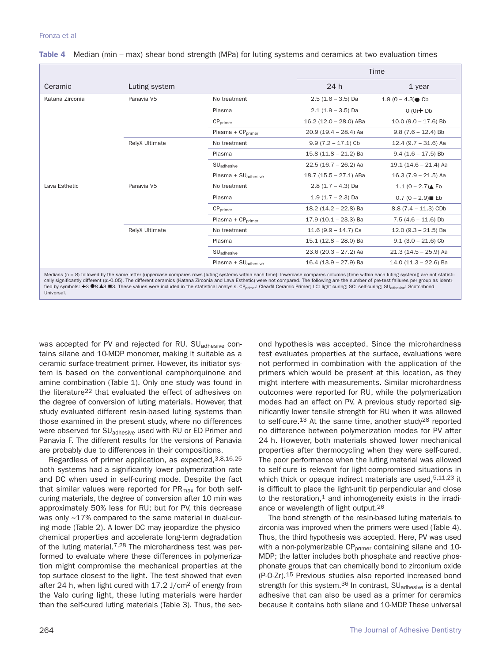|                 |                |                                 |                         | Time                   |  |
|-----------------|----------------|---------------------------------|-------------------------|------------------------|--|
| Ceramic         | Luting system  |                                 | 24 h                    | $1$ year               |  |
| Katana Zirconia | Panavia V5     | No treatment                    | $2.5(1.6 - 3.5)$ Da     | $1.9(0 - 4.3)$ Cb      |  |
|                 |                | Plasma                          | $2.1(1.9 - 3.5)$ Da     | $0(0)$ + Db            |  |
|                 |                | CP <sub>brimer</sub>            | $16.2(12.0 - 28.0)$ ABa | $10.0$ (9.0 - 17.6) Bb |  |
|                 |                | $Plasma + CPorimer$             | $20.9(19.4 - 28.4)$ Aa  | $9.8(7.6 - 12.4)$ Bb   |  |
|                 | RelyX Ultimate | No treatment                    | $9.9(7.2 - 17.1)$ Cb    | $12.4(9.7 - 31.6)$ Aa  |  |
|                 |                | Plasma                          | $15.8(11.8 - 21.2)$ Ba  | $9.4$ (1.6 - 17.5) Bb  |  |
|                 |                | SU <sub>adhesive</sub>          | $22.5(16.7 - 26.2)$ Aa  | $19.1(14.6 - 21.4)$ Aa |  |
|                 |                | $Plasma + SU_{adhesive}$        | $18.7(15.5 - 27.1)$ ABa | $16.3(7.9 - 21.5)$ Aa  |  |
| Lava Esthetic   | Panavia V5     | No treatment                    | $2.8(1.7 - 4.3)$ Da     | 1.1 $(0 - 2.7)$ Eb     |  |
|                 |                | Plasma                          | $1.9(1.7 - 2.3)$ Da     | $0.7(0 - 2.9)$ Eb      |  |
|                 |                | $CP$ <sub>primer</sub>          | 18.2 (14.2 - 22.8) Ba   | $8.8(7.4 - 11.3)$ CDb  |  |
|                 |                | Plasma + CP <sub>primer</sub>   | $17.9(10.1 - 23.3)$ Ba  | $7.5(4.6 - 11.6)$ Db   |  |
|                 | RelyX Ultimate | No treatment                    | $11.6(9.9 - 14.7)$ Ca   | $12.0(9.3 - 21.5)$ Ba  |  |
|                 |                | Plasma                          | $15.1(12.8 - 28.0)$ Ba  | $9.1(3.0 - 21.6)$ Cb   |  |
|                 |                | SU <sub>adhesive</sub>          | $23.6(20.3 - 27.2)$ Aa  | $21.3(14.5 - 25.9)$ Aa |  |
|                 |                | Plasma + SU <sub>adhesive</sub> | $16.4(13.9 - 27.9)$ Ba  | $14.0(11.3 - 22.6)$ Ba |  |

**Table 4** Median (min – max) shear bond strength (MPa) for luting systems and ceramics at two evaluation times

cally significantly different (p>0.05). The different ceramics (Katana Zirconia and Lava Esthetic) were not compared. The following are the number of pre-test failures per group as identified by symbols: **+3 ●8 ▲3 ■3**. These values were included in the statistical analysis. CP<sub>primer</sub>: Clearfil Ceramic Primer; LC: light curing; SC: self-curing; SU<sub>adhesive</sub>: Scotchbond Universal.

was accepted for PV and rejected for RU. SU<sub>adhesive</sub> contains silane and 10-MDP monomer, making it suitable as a ceramic surface-treatment primer. However, its initiator system is based on the conventional camphorquinone and amine combination (Table 1). Only one study was found in the literature<sup>22</sup> that evaluated the effect of adhesives on the degree of conversion of luting materials. However, that study evaluated different resin-based luting systems than those examined in the present study, where no differences were observed for SU<sub>adhesive</sub> used with RU or ED Primer and Panavia F. The different results for the versions of Panavia are probably due to differences in their compositions.

Regardless of primer application, as expected,3,8,16,25 both systems had a significantly lower polymerization rate and DC when used in self-curing mode. Despite the fact that similar values were reported for  $PR<sub>max</sub>$  for both selfcuring materials, the degree of conversion after 10 min was approximately 50% less for RU; but for PV, this decrease was only ~17% compared to the same material in dual-curing mode (Table 2). A lower DC may jeopardize the physicochemical properties and accelerate long-term degradation of the luting material.<sup>7,28</sup> The microhardness test was performed to evaluate where these differences in polymerization might compromise the mechanical properties at the top surface closest to the light. The test showed that even after 24 h, when light cured with 17.2 J/cm2 of energy from the Valo curing light, these luting materials were harder than the self-cured luting materials (Table 3). Thus, the sec-

ond hypothesis was accepted. Since the microhardness test evaluates properties at the surface, evaluations were not performed in combination with the application of the primers which would be present at this location, as they might interfere with measurements. Similar microhardness outcomes were reported for RU, while the polymerization modes had an effect on PV. A previous study reported significantly lower tensile strength for RU when it was allowed to self-cure.13 At the same time, another study28 reported no difference between polymerization modes for PV after 24 h. However, both materials showed lower mechanical properties after thermocycling when they were self-cured. The poor performance when the luting material was allowed to self-cure is relevant for light-compromised situations in which thick or opaque indirect materials are used,  $5,11,23$  it is difficult to place the light-unit tip perpendicular and close to the restoration, $1$  and inhomogeneity exists in the irradiance or wavelength of light output.26

The bond strength of the resin-based luting materials to zirconia was improved when the primers were used (Table 4). Thus, the third hypothesis was accepted. Here, PV was used with a non-polymerizable  $CP_{\text{primer}}$  containing silane and 10-MDP; the latter includes both phosphate and reactive phosphonate groups that can chemically bond to zirconium oxide (P-O-Zr).15 Previous studies also reported increased bond strength for this system.<sup>36</sup> In contrast,  $SU<sub>adhesive</sub>$  is a dental adhesive that can also be used as a primer for ceramics because it contains both silane and 10-MDP. These universal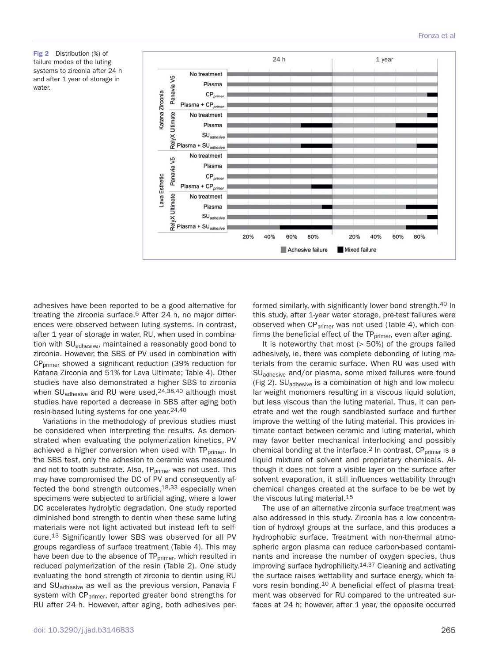**Fig 2** Distribution (%) of failure modes of the luting systems to zirconia after 24 h and after 1 year of storage in water.



adhesives have been reported to be a good alternative for treating the zirconia surface.<sup>6</sup> After 24 h, no major differences were observed between luting systems. In contrast, after 1 year of storage in water, RU, when used in combination with SU<sub>adhesive</sub>, maintained a reasonably good bond to zirconia. However, the SBS of PV used in combination with CPprimer showed a significant reduction (39% reduction for Katana Zirconia and 51% for Lava Ultimate; Table 4). Other studies have also demonstrated a higher SBS to zirconia when SU<sub>adhesive</sub> and RU were used, <sup>24,38,40</sup> although most studies have reported a decrease in SBS after aging both resin-based luting systems for one year.24,40

Variations in the methodology of previous studies must be considered when interpreting the results. As demonstrated when evaluating the polymerization kinetics, PV achieved a higher conversion when used with TP<sub>primer</sub>. In the SBS test, only the adhesion to ceramic was measured and not to tooth substrate. Also,  $TP_{\text{prime}}$  was not used. This may have compromised the DC of PV and consequently affected the bond strength outcomes,18,33 especially when specimens were subjected to artificial aging, where a lower DC accelerates hydrolytic degradation. One study reported diminished bond strength to dentin when these same luting materials were not light activated but instead left to selfcure.13 Significantly lower SBS was observed for all PV groups regardless of surface treatment (Table 4). This may have been due to the absence of TP<sub>primer</sub>, which resulted in reduced polymerization of the resin (Table 2). One study evaluating the bond strength of zirconia to dentin using RU and SU<sub>adhesive</sub> as well as the previous version, Panavia F system with CP<sub>primer</sub>, reported greater bond strengths for RU after 24 h. However, after aging, both adhesives performed similarly, with significantly lower bond strength.40 In this study, after 1-year water storage, pre-test failures were observed when  $CP_{\text{primary}}$  was not used (Table 4), which confirms the beneficial effect of the TP<sub>primer</sub>, even after aging.

It is noteworthy that most (> 50%) of the groups failed adhesively, ie, there was complete debonding of luting materials from the ceramic surface. When RU was used with SU<sub>adhesive</sub> and/or plasma, some mixed failures were found (Fig 2). SUadhesive is a combination of high and low molecular weight monomers resulting in a viscous liquid solution, but less viscous than the luting material. Thus, it can penetrate and wet the rough sandblasted surface and further improve the wetting of the luting material. This provides intimate contact between ceramic and luting material, which may favor better mechanical interlocking and possibly chemical bonding at the interface.<sup>2</sup> In contrast,  $CP_{\text{brimer}}$  is a liquid mixture of solvent and proprietary chemicals. Although it does not form a visible layer on the surface after solvent evaporation, it still influences wettability through chemical changes created at the surface to be be wet by the viscous luting material.15

The use of an alternative zirconia surface treatment was also addressed in this study. Zirconia has a low concentration of hydroxyl groups at the surface, and this produces a hydrophobic surface. Treatment with non-thermal atmospheric argon plasma can reduce carbon-based contaminants and increase the number of oxygen species, thus improving surface hydrophilicity.14,37 Cleaning and activating the surface raises wettability and surface energy, which favors resin bonding.10 A beneficial effect of plasma treatment was observed for RU compared to the untreated surfaces at 24 h; however, after 1 year, the opposite occurred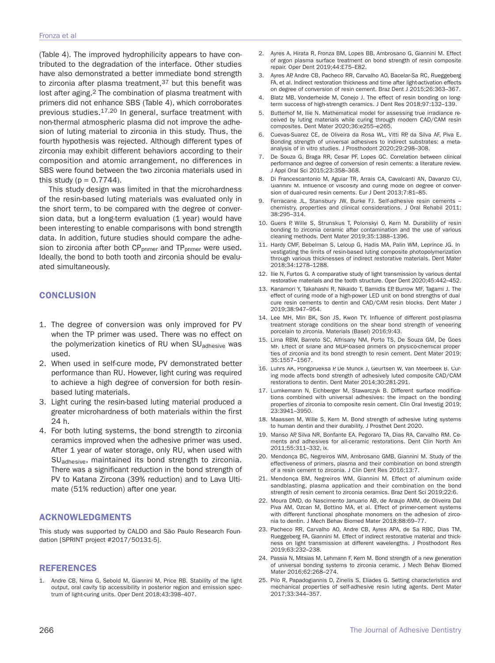(Table 4). The improved hydrophilicity appears to have contributed to the degradation of the interface. Other studies have also demonstrated a better immediate bond strength to zirconia after plasma treatment,  $37$  but this benefit was lost after aging.<sup>2</sup> The combination of plasma treatment with primers did not enhance SBS (Table 4), which corroborates previous studies.17,20 In general, surface treatment with non-thermal atmospheric plasma did not improve the adhesion of luting material to zirconia in this study. Thus, the fourth hypothesis was rejected. Although different types of zirconia may exhibit different behaviors according to their composition and atomic arrangement, no differences in SBS were found between the two zirconia materials used in this study ( $p = 0.7744$ ).

This study design was limited in that the microhardness of the resin-based luting materials was evaluated only in the short term, to be compared with the degree of conversion data, but a long-term evaluation (1 year) would have been interesting to enable comparisons with bond strength data. In addition, future studies should compare the adhesion to zirconia after both CP<sub>primer</sub> and TP<sub>primer</sub> were used. Ideally, the bond to both tooth and zirconia should be evaluated simultaneously.

## **CONCLUSION**

- 1. The degree of conversion was only improved for PV when the TP primer was used. There was no effect on the polymerization kinetics of RU when SU<sub>adhesive</sub> was used.
- 2. When used in self-cure mode, PV demonstrated better performance than RU. However, light curing was required to achieve a high degree of conversion for both resinbased luting materials.
- 3. Light curing the resin-based luting material produced a greater microhardness of both materials within the first 24 h.
- 4. For both luting systems, the bond strength to zirconia ceramics improved when the adhesive primer was used. After 1 year of water storage, only RU, when used with SUadhesive, maintained its bond strength to zirconia. There was a significant reduction in the bond strength of PV to Katana Zircona (39% reduction) and to Lava Ultimate (51% reduction) after one year.

## **ACKNOWLEDGMENTS**

This study was supported by CALDO and São Paulo Research Foundation [SPRINT project #2017/50131-5].

## **REFERENCES**

Andre CB, Nima G, Sebold M, Giannini M, Price RB. Stability of the light output, oral cavity tip accessibility in posterior region and emission spectrum of light-curing units. Oper Dent 2018;43:398–407.

- 2. Ayres A, Hirata R, Fronza BM, Lopes BB, Ambrosano G, Giannini M. Effect of argon plasma surface treatment on bond strength of resin composite repair. Oper Dent 2019;44:E75–E82.
- 3. Ayres AP, Andre CB, Pacheco RR, Carvalho AO, Bacelar-Sa RC, Rueggeberg FA, et al. Indirect restoration thickness and time after light-activation effects on degree of conversion of resin cement. Braz Dent J 2015;26:363–367.
- 4. Blatz MB, Vonderheide M, Conejo J. The effect of resin bonding on longterm success of high-strength ceramics. J Dent Res 2018;97:132–139.
- 5. Butterhof M, Ilie N. Mathematical model for assessing true irradiance received by luting materials while curing through modern CAD/CAM resin composites. Dent Mater 2020;36:e255–e265.
- 6. Cuevas-Suarez CE, de Oliveira da Rosa WL, Vitti RP, da Silva AF, Piva E. Bonding strength of universal adhesives to indirect substrates: a metaanalysis of in vitro studies. J Prosthodont 2020;29:298–308.
- 7. De Souza G, Braga RR, Cesar PF, Lopes GC. Correlation between clinical performance and degree of conversion of resin cements: a literature review. J Appl Oral Sci 2015;23:358–368.
- Di Francescantonio M, Aguiar TR, Arrais CA, Cavalcanti AN, Davanzo CU, Giannini M. Influence of viscosity and curing mode on degree of conversion of dual-cured resin cements. Eur J Dent 2013;7:81–85.
- Ferracane JL, Stansbury JW, Burke FJ. Self-adhesive resin cements chemistry, properties and clinical considerations. J Oral Rehabil 2011; 38:295–314.
- 10. Guers P, Wille S, Strunskus T, Polonskyi O, Kern M. Durability of resin bonding to zirconia ceramic after contamination and the use of various cleaning methods. Dent Mater 2019;35:1388–1396.
- 11. Hardy CMF, Bebelman S, Leloup G, Hadis MA, Palin WM, Leprince JG. Investigating the limits of resin-based luting composite photopolymerization through various thicknesses of indirect restorative materials. Dent Mater 2018;34:1278–1288.
- 12. Ilie N, Furtos G. A comparative study of light transmission by various dental restorative materials and the tooth structure. Oper Dent 2020;45:442–452.
- 13. Kanamori Y, Takahashi R, Nikaido T, Bamidis EP, Burrow MF, Tagami J. The effect of curing mode of a high-power LED unit on bond strengths of dualcure resin cements to dentin and CAD/CAM resin blocks. Dent Mater J 2019;38:947–954.
- 14. Lee MH, Min BK, Son JS, Kwon TY. Influence of different post-plasma treatment storage conditions on the shear bond strength of veneering porcelain to zirconia. Materials (Basel) 2016;9:43.
- 15. Lima RBW, Barreto SC, Alfrisany NM, Porto TS, De Souza GM, De Goes MF. Effect of silane and MDP-based primers on physico-chemical properties of zirconia and its bond strength to resin cement. Dent Mater 2019; 35:1557–1567.
- 16. Luhrs AK, Pongprueksa P, De Munck J, Geurtsen W, Van Meerbeek B. Curing mode affects bond strength of adhesively luted composite CAD/CAM restorations to dentin. Dent Mater 2014;30:281-291.
- 17. Lumkemann N, Eichberger M, Stawarczyk B. Different surface modifications combined with universal adhesives: the impact on the bonding properties of zirconia to composite resin cement. Clin Oral Investig 2019; 23:3941–3950.
- 18. Maassen M, Wille S, Kern M. Bond strength of adhesive luting systems to human dentin and their durability. J Prosthet Dent 2020.
- 19. Manso AP, Silva NR, Bonfante EA, Pegoraro TA, Dias RA, Carvalho RM. Cements and adhesives for all-ceramic restorations. Dent Clin North Am 2011;55:311–332, ix.
- 20. Mendonça BC, Negreiros WM, Ambrosano GMB, Giannini M. Study of the effectiveness of primers, plasma and their combination on bond strength of a resin cement to zirconia. J Clin Dent Res 2016;13:7.
- 21. Mendonça BM, Negreiros WM, Giannini M. Effect of aluminum oxide sandblasting, plasma application and their combination on the bond strength of resin cement to zirconia ceramics. Braz Dent Sci 2019;22:6.
- 22. Moura DMD, do Nascimento Januario AB, de Araujo AMM, de Oliveira Dal Piva AM, Ozcan M, Bottino MA, et al. Effect of primer-cement systems with different functional phosphate monomers on the adhesion of zirconia to dentin. J Mech Behav Biomed Mater 2018;88:69–77.
- 23. Pacheco RR, Carvalho AO, Andre CB, Ayres APA, de Sa RBC, Dias TM, Rueggeberg FA, Giannini M. Effect of indirect restorative material and thickness on light transmission at different wavelengths. J Prosthodont Res 2019;63:232–238.
- 24. Passia N, Mitsias M, Lehmann F, Kern M. Bond strength of a new generation of universal bonding systems to zirconia ceramic. J Mech Behav Biomed Mater 2016;62:268–274.
- 25. Pilo R, Papadogiannis D, Zinelis S, Eliades G. Setting characteristics and mechanical properties of self-adhesive resin luting agents. Dent Mater 2017;33:344–357.